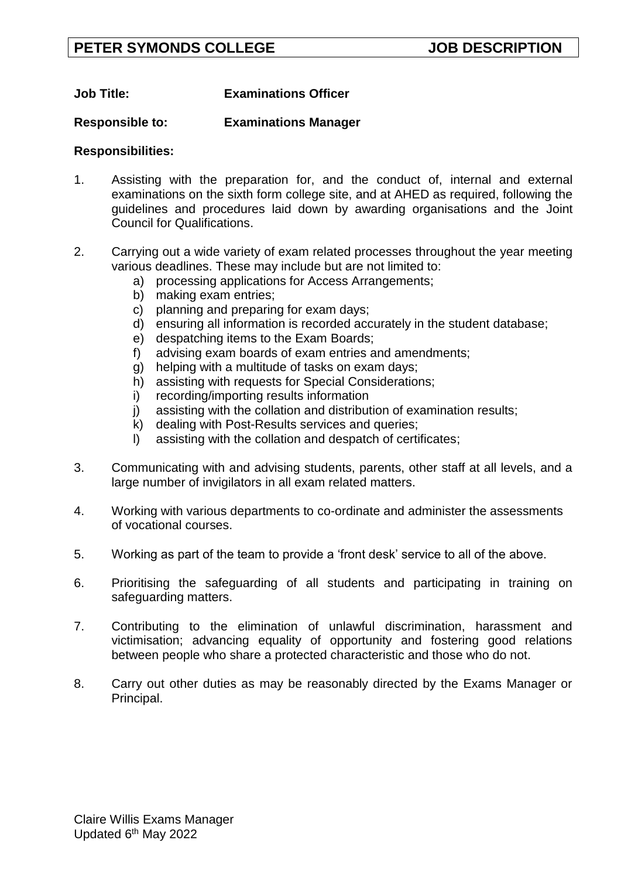# **Job Title: Examinations Officer**

# **Responsible to: Examinations Manager**

# **Responsibilities:**

- 1. Assisting with the preparation for, and the conduct of, internal and external examinations on the sixth form college site, and at AHED as required, following the guidelines and procedures laid down by awarding organisations and the Joint Council for Qualifications.
- 2. Carrying out a wide variety of exam related processes throughout the year meeting various deadlines. These may include but are not limited to:
	- a) processing applications for Access Arrangements;
	- b) making exam entries;
	- c) planning and preparing for exam days;
	- d) ensuring all information is recorded accurately in the student database;
	- e) despatching items to the Exam Boards;
	- f) advising exam boards of exam entries and amendments;
	- g) helping with a multitude of tasks on exam days;
	- h) assisting with requests for Special Considerations;
	- i) recording/importing results information
	- j) assisting with the collation and distribution of examination results;
	- k) dealing with Post-Results services and queries;
	- l) assisting with the collation and despatch of certificates;
- 3. Communicating with and advising students, parents, other staff at all levels, and a large number of invigilators in all exam related matters.
- 4. Working with various departments to co-ordinate and administer the assessments of vocational courses.
- 5. Working as part of the team to provide a 'front desk' service to all of the above.
- 6. Prioritising the safeguarding of all students and participating in training on safeguarding matters.
- 7. Contributing to the elimination of unlawful discrimination, harassment and victimisation; advancing equality of opportunity and fostering good relations between people who share a protected characteristic and those who do not.
- 8. Carry out other duties as may be reasonably directed by the Exams Manager or Principal.